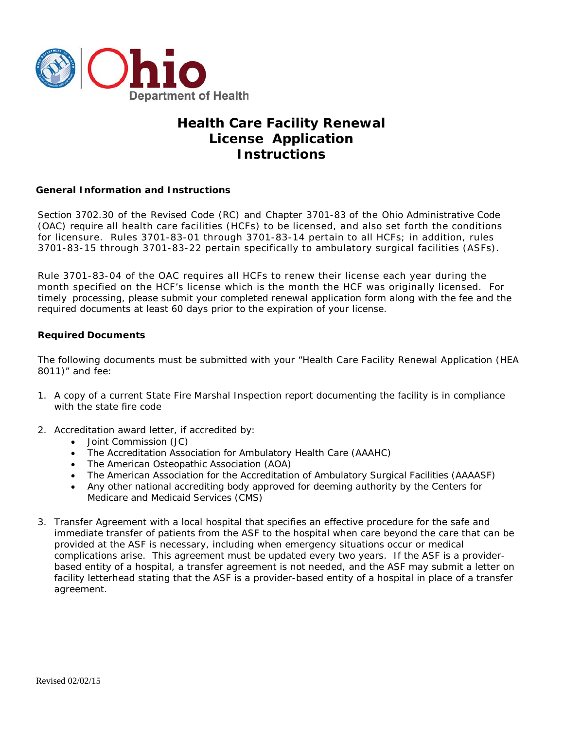

# **Health Care Facility Renewal License Application Instructions**

### **General Information and Instructions**

Section 3702.30 of the Revised Code (RC) and Chapter 3701-83 of the Ohio Administrative Code (OAC) require all health care facilities (HCFs) to be licensed, and also set forth the conditions for licensure. Rules 3701-83-01 through 3701-83-14 pertain to all HCFs; in addition, rules 3701-83-15 through 3701-83-22 pertain specifically to ambulatory surgical facilities (ASFs).

Rule 3701-83-04 of the OAC requires all HCFs to renew their license each year during the month specified on the HCF's license which is the month the HCF was originally licensed. For timely processing, please submit your completed renewal application form along with the fee and the required documents at least 60 days prior to the expiration of your license.

### **Required Documents**

The following documents must be submitted with your "Health Care Facility Renewal Application (HEA 8011)" and fee:

- 1. A copy of a current State Fire Marshal Inspection report documenting the facility is in compliance with the state fire code
- 2. Accreditation award letter, if accredited by:
	- Joint Commission (JC)
	- The Accreditation Association for Ambulatory Health Care (AAAHC)
	- The American Osteopathic Association (AOA)
	- The American Association for the Accreditation of Ambulatory Surgical Facilities (AAAASF)
	- Any other national accrediting body approved for deeming authority by the Centers for Medicare and Medicaid Services (CMS)
- 3. Transfer Agreement with a local hospital that specifies an effective procedure for the safe and immediate transfer of patients from the ASF to the hospital when care beyond the care that can be provided at the ASF is necessary, including when emergency situations occur or medical complications arise. This agreement must be updated every two years. *If the ASF is a providerbased entity of a hospital, a transfer agreement is not needed, and the ASF may submit a letter on facility letterhead stating that the ASF is a provider-based entity of a hospital in place of a transfer agreement.*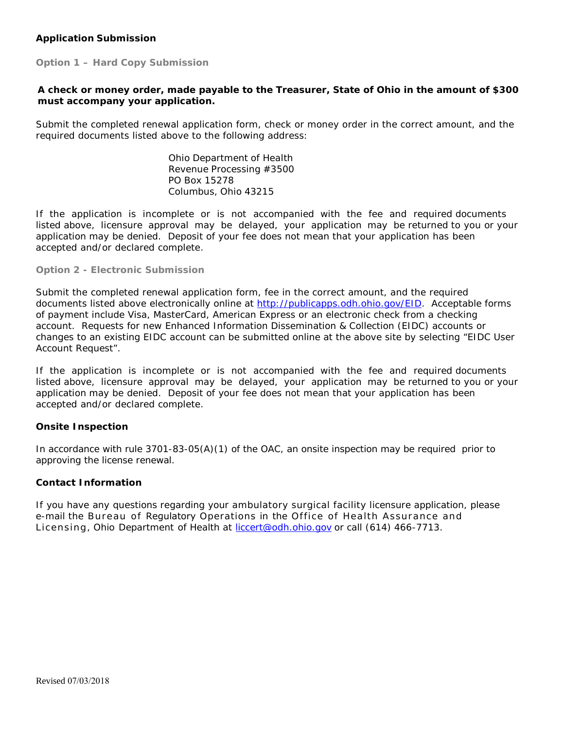## **Application Submission**

**Option 1 – Hard Copy Submission**

## **A check or money order, made payable to the Treasurer, State of Ohio in the amount of \$300 must accompany your application.**

Submit the completed renewal application form, check or money order in the correct amount, and the required documents listed above to the following address:

> Ohio Department of Health Revenue Processing #3500 PO Box 15278 Columbus, Ohio 43215

If the application is incomplete or is not accompanied with the fee and required documents listed above, licensure approval may be delayed, your application may be returned to you or your application may be denied. Deposit of your fee does not mean that your application has been accepted and/or declared complete.

#### **Option 2 - Electronic Submission**

Submit the completed renewal application form, fee in the correct amount, and the required documents listed above electronically online at [http://publicapps.odh.ohio.gov/EID.](http://publicapps.odh.ohio.gov/EID) Acceptable forms of payment include Visa, MasterCard, American Express or an electronic check from a checking account. Requests for new Enhanced Information Dissemination & Collection (EIDC) accounts or changes to an existing EIDC account can be submitted online at the above site by selecting "EIDC User Account Request".

If the application is incomplete or is not accompanied with the fee and required documents listed above, licensure approval may be delayed, your application may be returned to you or your application may be denied. Deposit of your fee does not mean that your application has been accepted and/or declared complete.

#### **Onsite Inspection**

In accordance with rule 3701-83-05(A)(1) of the OAC, an onsite inspection may be required prior to approving the license renewal.

### **Contact Information**

If you have any questions regarding your ambulatory surgical facility licensure application, please e-mail the Bureau of Regulatory Operations in the Office of Health Assurance and Licensing, Ohio Department [of Health at](mailto:liccert@odh.ohio.gov) liccert@odh.ohio.gov or call (614) 466-7713.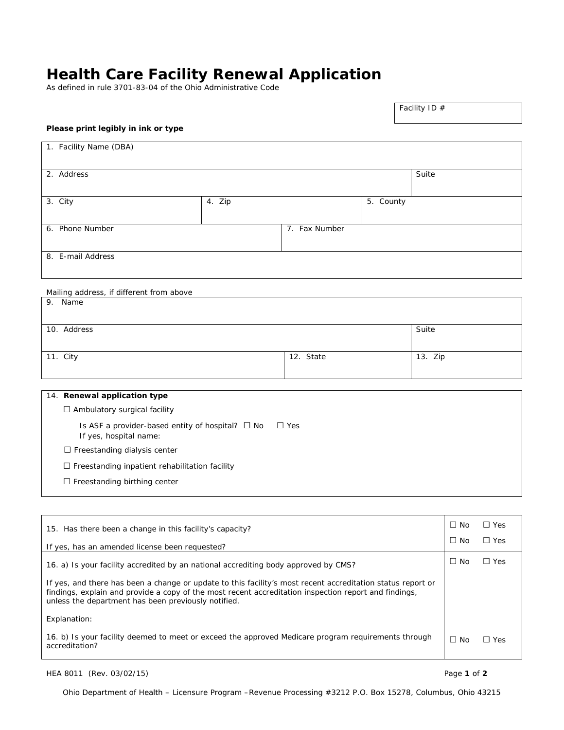# **Health Care Facility Renewal Application**

As defined in rule 3701-83-04 of the Ohio Administrative Code

#### Facility ID #

#### **Please print legibly in ink or type**

| 1. Facility Name (DBA) |        |               |           |       |
|------------------------|--------|---------------|-----------|-------|
| 2. Address             |        |               |           | Suite |
| $\overline{3}$ . City  | 4. Zip |               | 5. County |       |
| 6. Phone Number        |        | 7. Fax Number |           |       |
| 8. E-mail Address      |        |               |           |       |

#### Mailing address, if different from above 9. Name

| 10. Address |           | Suite   |
|-------------|-----------|---------|
|             |           |         |
| 11. City    | 12. State | 13. Zip |
|             |           |         |

## 14. **Renewal application type** □ Ambulatory surgical facility

Is ASF a provider-based entity of hospital? □ No □ Yes If yes, hospital name:

□ Freestanding dialysis center

 $\square$  Freestanding inpatient rehabilitation facility

□ Freestanding birthing center

| 15. Has there been a change in this facility's capacity?                                                                                                                                                                                                                    | $\Box$ No | $\Box$ Yes |
|-----------------------------------------------------------------------------------------------------------------------------------------------------------------------------------------------------------------------------------------------------------------------------|-----------|------------|
| If yes, has an amended license been requested?                                                                                                                                                                                                                              | $\Box$ No | $\Box$ Yes |
| 16. a) Is your facility accredited by an national accrediting body approved by CMS?                                                                                                                                                                                         | $\Box$ No | $\Box$ Yes |
| If yes, and there has been a change or update to this facility's most recent accreditation status report or<br>findings, explain and provide a copy of the most recent accreditation inspection report and findings,<br>unless the department has been previously notified. |           |            |
| Explanation:                                                                                                                                                                                                                                                                |           |            |
| 16. b) Is your facility deemed to meet or exceed the approved Medicare program requirements through<br>accreditation?                                                                                                                                                       | $\Box$ No | ∩ Yes      |

HEA 8011 (Rev. 03/02/15) Page **1** of **2**

Ohio Department of Health – Licensure Program –Revenue Processing #3212 P.O. Box 15278, Columbus, Ohio 43215